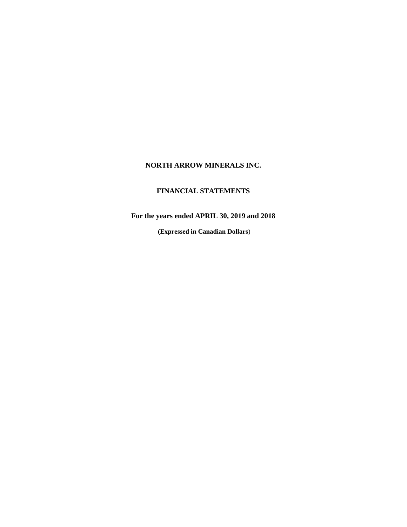# **NORTH ARROW MINERALS INC.**

# **FINANCIAL STATEMENTS**

**For the years ended APRIL 30, 2019 and 2018**

**(Expressed in Canadian Dollars**)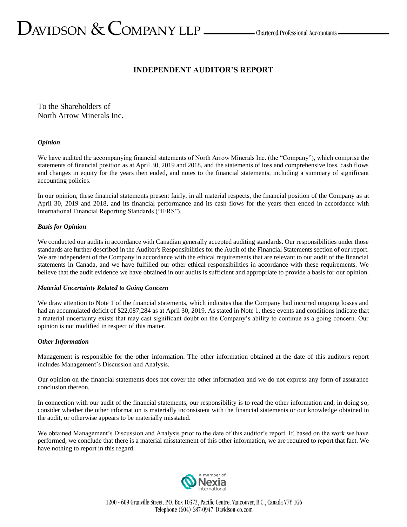# **INDEPENDENT AUDITOR'S REPORT**

To the Shareholders of North Arrow Minerals Inc.

# *Opinion*

We have audited the accompanying financial statements of North Arrow Minerals Inc. (the "Company"), which comprise the statements of financial position as at April 30, 2019 and 2018, and the statements of loss and comprehensive loss, cash flows and changes in equity for the years then ended, and notes to the financial statements, including a summary of significant accounting policies.

In our opinion, these financial statements present fairly, in all material respects, the financial position of the Company as at April 30, 2019 and 2018, and its financial performance and its cash flows for the years then ended in accordance with International Financial Reporting Standards ("IFRS").

# *Basis for Opinion*

We conducted our audits in accordance with Canadian generally accepted auditing standards. Our responsibilities under those standards are further described in the Auditor's Responsibilities for the Audit of the Financial Statements section of our report. We are independent of the Company in accordance with the ethical requirements that are relevant to our audit of the financial statements in Canada, and we have fulfilled our other ethical responsibilities in accordance with these requirements. We believe that the audit evidence we have obtained in our audits is sufficient and appropriate to provide a basis for our opinion.

# *Material Uncertainty Related to Going Concern*

We draw attention to Note 1 of the financial statements, which indicates that the Company had incurred ongoing losses and had an accumulated deficit of \$22,087,284 as at April 30, 2019. As stated in Note 1, these events and conditions indicate that a material uncertainty exists that may cast significant doubt on the Company's ability to continue as a going concern. Our opinion is not modified in respect of this matter.

# *Other Information*

Management is responsible for the other information. The other information obtained at the date of this auditor's report includes Management's Discussion and Analysis.

Our opinion on the financial statements does not cover the other information and we do not express any form of assurance conclusion thereon.

In connection with our audit of the financial statements, our responsibility is to read the other information and, in doing so, consider whether the other information is materially inconsistent with the financial statements or our knowledge obtained in the audit, or otherwise appears to be materially misstated.

We obtained Management's Discussion and Analysis prior to the date of this auditor's report. If, based on the work we have performed, we conclude that there is a material misstatement of this other information, we are required to report that fact. We have nothing to report in this regard.

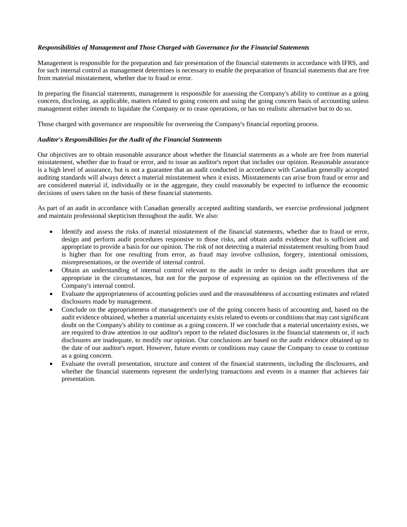# *Responsibilities of Management and Those Charged with Governance for the Financial Statements*

Management is responsible for the preparation and fair presentation of the financial statements in accordance with IFRS, and for such internal control as management determines is necessary to enable the preparation of financial statements that are free from material misstatement, whether due to fraud or error.

In preparing the financial statements, management is responsible for assessing the Company's ability to continue as a going concern, disclosing, as applicable, matters related to going concern and using the going concern basis of accounting unless management either intends to liquidate the Company or to cease operations, or has no realistic alternative but to do so.

Those charged with governance are responsible for overseeing the Company's financial reporting process.

## *Auditor's Responsibilities for the Audit of the Financial Statements*

Our objectives are to obtain reasonable assurance about whether the financial statements as a whole are free from material misstatement, whether due to fraud or error, and to issue an auditor's report that includes our opinion. Reasonable assurance is a high level of assurance, but is not a guarantee that an audit conducted in accordance with Canadian generally accepted auditing standards will always detect a material misstatement when it exists. Misstatements can arise from fraud or error and are considered material if, individually or in the aggregate, they could reasonably be expected to influence the economic decisions of users taken on the basis of these financial statements.

As part of an audit in accordance with Canadian generally accepted auditing standards, we exercise professional judgment and maintain professional skepticism throughout the audit. We also:

- Identify and assess the risks of material misstatement of the financial statements, whether due to fraud or error, design and perform audit procedures responsive to those risks, and obtain audit evidence that is sufficient and appropriate to provide a basis for our opinion. The risk of not detecting a material misstatement resulting from fraud is higher than for one resulting from error, as fraud may involve collusion, forgery, intentional omissions, misrepresentations, or the override of internal control.
- Obtain an understanding of internal control relevant to the audit in order to design audit procedures that are appropriate in the circumstances, but not for the purpose of expressing an opinion on the effectiveness of the Company's internal control.
- Evaluate the appropriateness of accounting policies used and the reasonableness of accounting estimates and related disclosures made by management.
- Conclude on the appropriateness of management's use of the going concern basis of accounting and, based on the audit evidence obtained, whether a material uncertainty exists related to events or conditions that may cast significant doubt on the Company's ability to continue as a going concern. If we conclude that a material uncertainty exists, we are required to draw attention in our auditor's report to the related disclosures in the financial statements or, if such disclosures are inadequate, to modify our opinion. Our conclusions are based on the audit evidence obtained up to the date of our auditor's report. However, future events or conditions may cause the Company to cease to continue as a going concern.
- Evaluate the overall presentation, structure and content of the financial statements, including the disclosures, and whether the financial statements represent the underlying transactions and events in a manner that achieves fair presentation.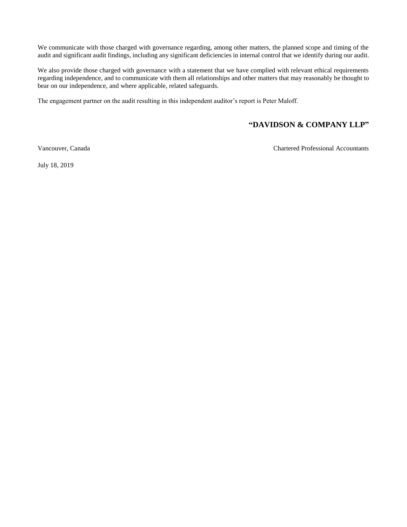We communicate with those charged with governance regarding, among other matters, the planned scope and timing of the audit and significant audit findings, including any significant deficiencies in internal control that we identify during our audit.

We also provide those charged with governance with a statement that we have complied with relevant ethical requirements regarding independence, and to communicate with them all relationships and other matters that may reasonably be thought to bear on our independence, and where applicable, related safeguards.

The engagement partner on the audit resulting in this independent auditor's report is Peter Maloff.

# **"DAVIDSON & COMPANY LLP"**

Vancouver, Canada Chartered Professional Accountants

July 18, 2019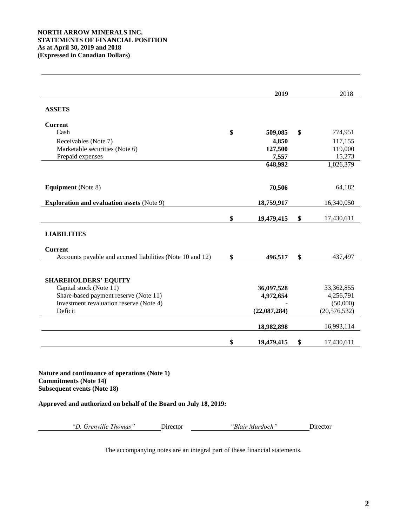|                                                           | 2019             | 2018             |
|-----------------------------------------------------------|------------------|------------------|
| <b>ASSETS</b>                                             |                  |                  |
| <b>Current</b>                                            |                  |                  |
| Cash                                                      | \$<br>509,085    | \$<br>774,951    |
| Receivables (Note 7)                                      | 4,850            | 117,155          |
| Marketable securities (Note 6)                            | 127,500          | 119,000          |
| Prepaid expenses                                          | 7,557            | 15,273           |
|                                                           | 648,992          | 1,026,379        |
| <b>Equipment</b> (Note 8)                                 | 70,506           | 64,182           |
| <b>Exploration and evaluation assets (Note 9)</b>         | 18,759,917       | 16,340,050       |
|                                                           | \$<br>19,479,415 | \$<br>17,430,611 |
| <b>LIABILITIES</b>                                        |                  |                  |
| <b>Current</b>                                            |                  |                  |
| Accounts payable and accrued liabilities (Note 10 and 12) | \$<br>496,517    | \$<br>437,497    |
|                                                           |                  |                  |
| <b>SHAREHOLDERS' EQUITY</b><br>Capital stock (Note 11)    | 36,097,528       | 33, 362, 855     |
| Share-based payment reserve (Note 11)                     | 4,972,654        | 4,256,791        |
| Investment revaluation reserve (Note 4)                   |                  | (50,000)         |
| Deficit                                                   | (22,087,284)     | (20, 576, 532)   |
|                                                           | 18,982,898       | 16,993,114       |
|                                                           |                  |                  |
|                                                           | \$<br>19,479,415 | \$<br>17,430,611 |

**Nature and continuance of operations (Note 1) Commitments (Note 14) Subsequent events (Note 18)**

**Approved and authorized on behalf of the Board on July 18, 2019:**

*"D. Grenville Thomas"* Director *"Blair Murdoch"* Director

The accompanying notes are an integral part of these financial statements.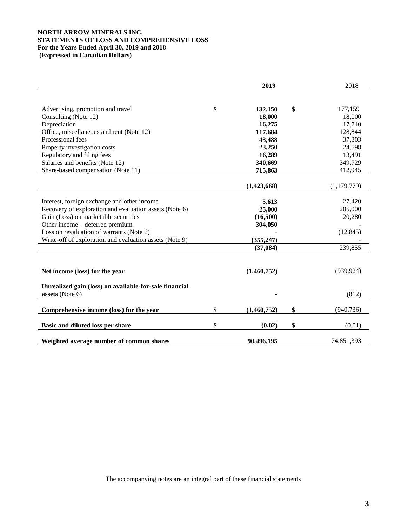# **NORTH ARROW MINERALS INC. STATEMENTS OF LOSS AND COMPREHENSIVE LOSS For the Years Ended April 30, 2019 and 2018 (Expressed in Canadian Dollars)**

|                                                         | 2019              | 2018             |
|---------------------------------------------------------|-------------------|------------------|
|                                                         |                   |                  |
| Advertising, promotion and travel                       | \$<br>132,150     | \$<br>177,159    |
| Consulting (Note 12)                                    | 18,000            | 18,000           |
| Depreciation                                            | 16,275            | 17,710           |
| Office, miscellaneous and rent (Note 12)                | 117,684           | 128,844          |
| Professional fees                                       | 43,488            | 37,303           |
| Property investigation costs                            | 23,250            | 24,598           |
| Regulatory and filing fees                              | 16,289            | 13,491           |
| Salaries and benefits (Note 12)                         | 340,669           | 349,729          |
| Share-based compensation (Note 11)                      | 715,863           | 412,945          |
|                                                         |                   |                  |
|                                                         | (1,423,668)       | (1,179,779)      |
| Interest, foreign exchange and other income             | 5,613             | 27,420           |
| Recovery of exploration and evaluation assets (Note 6)  | 25,000            | 205,000          |
| Gain (Loss) on marketable securities                    | (16,500)          | 20,280           |
| Other income – deferred premium                         | 304,050           |                  |
| Loss on revaluation of warrants (Note 6)                |                   | (12, 845)        |
| Write-off of exploration and evaluation assets (Note 9) | (355, 247)        |                  |
|                                                         | (37,084)          | 239,855          |
|                                                         |                   |                  |
|                                                         |                   |                  |
| Net income (loss) for the year                          | (1,460,752)       | (939, 924)       |
| Unrealized gain (loss) on available-for-sale financial  |                   |                  |
| assets (Note 6)                                         |                   | (812)            |
|                                                         |                   |                  |
| Comprehensive income (loss) for the year                | \$<br>(1,460,752) | \$<br>(940, 736) |
| Basic and diluted loss per share                        | \$<br>(0.02)      | \$<br>(0.01)     |
|                                                         |                   |                  |
| Weighted average number of common shares                | 90,496,195        | 74,851,393       |

The accompanying notes are an integral part of these financial statements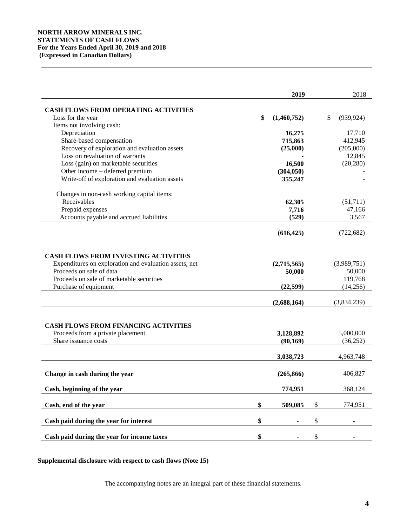## **NORTH ARROW MINERALS INC. STATEMENTS OF CASH FLOWS For the Years Ended April 30, 2019 and 2018 (Expressed in Canadian Dollars)**

|                                                                                                                                                                                                         | 2019                              |      | 2018                                         |
|---------------------------------------------------------------------------------------------------------------------------------------------------------------------------------------------------------|-----------------------------------|------|----------------------------------------------|
| <b>CASH FLOWS FROM OPERATING ACTIVITIES</b>                                                                                                                                                             |                                   |      |                                              |
| Loss for the year                                                                                                                                                                                       | \$<br>(1,460,752)                 |      | \$<br>(939, 924)                             |
| Items not involving cash:                                                                                                                                                                               |                                   |      |                                              |
| Depreciation                                                                                                                                                                                            | 16,275                            |      | 17,710                                       |
| Share-based compensation                                                                                                                                                                                | 715,863                           |      | 412,945                                      |
| Recovery of exploration and evaluation assets                                                                                                                                                           | (25,000)                          |      | (205,000)                                    |
| Loss on revaluation of warrants                                                                                                                                                                         |                                   |      | 12,845                                       |
| Loss (gain) on marketable securities                                                                                                                                                                    | 16,500                            |      | (20, 280)                                    |
| Other income - deferred premium                                                                                                                                                                         | (304, 050)                        |      |                                              |
| Write-off of exploration and evaluation assets                                                                                                                                                          | 355,247                           |      |                                              |
| Changes in non-cash working capital items:                                                                                                                                                              |                                   |      |                                              |
| Receivables                                                                                                                                                                                             | 62,305                            |      | (51,711)                                     |
| Prepaid expenses                                                                                                                                                                                        | 7,716                             |      | 47,166                                       |
| Accounts payable and accrued liabilities                                                                                                                                                                | (529)                             |      | 3,567                                        |
|                                                                                                                                                                                                         |                                   |      |                                              |
|                                                                                                                                                                                                         | (616, 425)                        |      | (722, 682)                                   |
| <b>CASH FLOWS FROM INVESTING ACTIVITIES</b><br>Expenditures on exploration and evaluation assets, net<br>Proceeds on sale of data<br>Proceeds on sale of marketable securities<br>Purchase of equipment | (2,715,565)<br>50,000<br>(22,599) |      | (3,989,751)<br>50,000<br>119,768<br>(14,256) |
|                                                                                                                                                                                                         | (2,688,164)                       |      | (3,834,239)                                  |
| <b>CASH FLOWS FROM FINANCING ACTIVITIES</b>                                                                                                                                                             |                                   |      |                                              |
| Proceeds from a private placement                                                                                                                                                                       | 3,128,892                         |      | 5,000,000                                    |
| Share issuance costs                                                                                                                                                                                    | (90, 169)                         |      | (36, 252)                                    |
|                                                                                                                                                                                                         | 3,038,723                         |      | 4,963,748                                    |
|                                                                                                                                                                                                         |                                   |      |                                              |
| Change in cash during the year                                                                                                                                                                          | (265, 866)                        |      | 406,827                                      |
| Cash, beginning of the year                                                                                                                                                                             | 774,951                           |      | 368,124                                      |
| Cash, end of the year                                                                                                                                                                                   | \$<br>509,085                     | \$   | 774,951                                      |
|                                                                                                                                                                                                         |                                   |      |                                              |
| Cash paid during the year for interest                                                                                                                                                                  | \$                                | \$   |                                              |
| Cash paid during the year for income taxes                                                                                                                                                              | \$                                | $\$$ |                                              |

**Supplemental disclosure with respect to cash flows (Note 15)**

The accompanying notes are an integral part of these financial statements.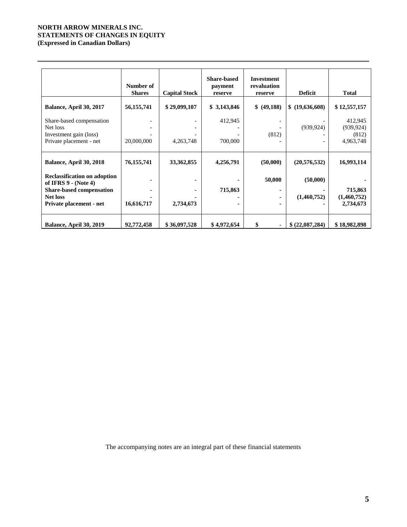# **NORTH ARROW MINERALS INC. STATEMENTS OF CHANGES IN EQUITY (Expressed in Canadian Dollars)**

|                                                                                                                                                | Number of<br><b>Shares</b> | <b>Capital Stock</b> | <b>Share-based</b><br>payment<br>reserve | <b>Investment</b><br>revaluation<br>reserve | <b>Deficit</b>          | <b>Total</b>                                |
|------------------------------------------------------------------------------------------------------------------------------------------------|----------------------------|----------------------|------------------------------------------|---------------------------------------------|-------------------------|---------------------------------------------|
| Balance, April 30, 2017                                                                                                                        | 56, 155, 741               | \$29,099,107         | \$3,143,846                              | \$ (49,188)                                 | \$ (19,636,608)         | \$12,557,157                                |
| Share-based compensation<br>Net loss<br>Investment gain (loss)<br>Private placement - net                                                      | 20,000,000                 | 4, 263, 748          | 412,945<br>700,000                       | (812)                                       | (939, 924)              | 412,945<br>(939, 924)<br>(812)<br>4,963,748 |
| Balance, April 30, 2018                                                                                                                        | 76, 155, 741               | 33,362,855           | 4,256,791                                | (50,000)                                    | (20, 576, 532)          | 16,993,114                                  |
| <b>Reclassification on adoption</b><br>of IFRS $9 - (Note 4)$<br><b>Share-based compensation</b><br><b>Net loss</b><br>Private placement - net | 16,616,717                 | 2,734,673            | 715,863                                  | 50,000                                      | (50,000)<br>(1,460,752) | 715,863<br>(1,460,752)<br>2,734,673         |
| <b>Balance, April 30, 2019</b>                                                                                                                 | 92,772,458                 | \$36,097,528         | \$4,972,654                              | \$<br>٠                                     | \$ (22,087,284)         | \$18,982,898                                |

The accompanying notes are an integral part of these financial statements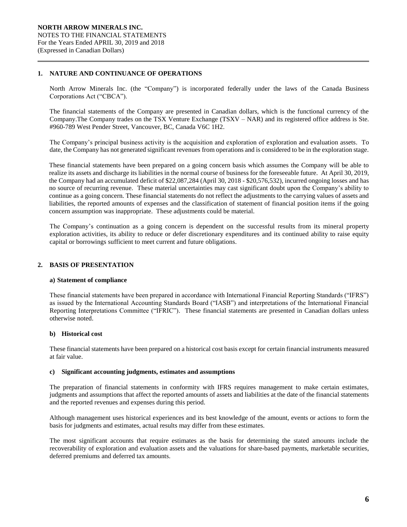## **1. NATURE AND CONTINUANCE OF OPERATIONS**

North Arrow Minerals Inc. (the "Company") is incorporated federally under the laws of the Canada Business Corporations Act ("CBCA").

The financial statements of the Company are presented in Canadian dollars, which is the functional currency of the Company.The Company trades on the TSX Venture Exchange (TSXV – NAR) and its registered office address is Ste. #960-789 West Pender Street, Vancouver, BC, Canada V6C 1H2.

The Company's principal business activity is the acquisition and exploration of exploration and evaluation assets. To date, the Company has not generated significant revenues from operations and is considered to be in the exploration stage.

These financial statements have been prepared on a going concern basis which assumes the Company will be able to realize its assets and discharge its liabilities in the normal course of business for the foreseeable future. At April 30, 2019, the Company had an accumulated deficit of \$22,087,284 (April 30, 2018 - \$20,576,532), incurred ongoing losses and has no source of recurring revenue. These material uncertainties may cast significant doubt upon the Company's ability to continue as a going concern. These financial statements do not reflect the adjustments to the carrying values of assets and liabilities, the reported amounts of expenses and the classification of statement of financial position items if the going concern assumption was inappropriate. These adjustments could be material.

The Company's continuation as a going concern is dependent on the successful results from its mineral property exploration activities, its ability to reduce or defer discretionary expenditures and its continued ability to raise equity capital or borrowings sufficient to meet current and future obligations.

## **2. BASIS OF PRESENTATION**

## **a) Statement of compliance**

These financial statements have been prepared in accordance with International Financial Reporting Standards ("IFRS") as issued by the International Accounting Standards Board ("IASB") and interpretations of the International Financial Reporting Interpretations Committee ("IFRIC"). These financial statements are presented in Canadian dollars unless otherwise noted.

## **b) Historical cost**

These financial statements have been prepared on a historical cost basis except for certain financial instruments measured at fair value.

#### **c) Significant accounting judgments, estimates and assumptions**

The preparation of financial statements in conformity with IFRS requires management to make certain estimates, judgments and assumptions that affect the reported amounts of assets and liabilities at the date of the financial statements and the reported revenues and expenses during this period.

Although management uses historical experiences and its best knowledge of the amount, events or actions to form the basis for judgments and estimates, actual results may differ from these estimates.

The most significant accounts that require estimates as the basis for determining the stated amounts include the recoverability of exploration and evaluation assets and the valuations for share-based payments, marketable securities, deferred premiums and deferred tax amounts.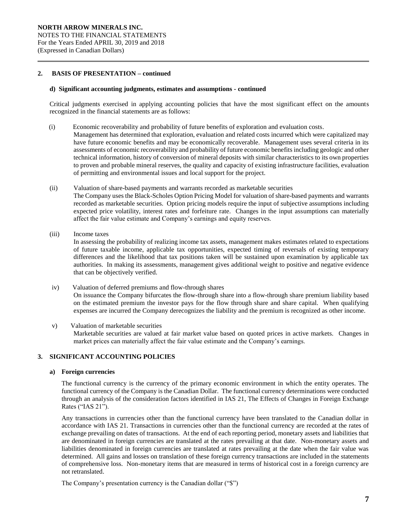## **2. BASIS OF PRESENTATION – continued**

## **d) Significant accounting judgments, estimates and assumptions** *-* **continued**

Critical judgments exercised in applying accounting policies that have the most significant effect on the amounts recognized in the financial statements are as follows:

- (i) Economic recoverability and probability of future benefits of exploration and evaluation costs*.* 
	- Management has determined that exploration, evaluation and related costs incurred which were capitalized may have future economic benefits and may be economically recoverable. Management uses several criteria in its assessments of economic recoverability and probability of future economic benefits including geologic and other technical information, history of conversion of mineral deposits with similar characteristics to its own properties to proven and probable mineral reserves, the quality and capacity of existing infrastructure facilities, evaluation of permitting and environmental issues and local support for the project.
- (ii) Valuation of share-based payments and warrants recorded as marketable securities The Company uses the Black-Scholes Option Pricing Model for valuation of share-based payments and warrants recorded as marketable securities. Option pricing models require the input of subjective assumptions including expected price volatility, interest rates and forfeiture rate. Changes in the input assumptions can materially affect the fair value estimate and Company's earnings and equity reserves.
- (iii) Income taxes

In assessing the probability of realizing income tax assets, management makes estimates related to expectations of future taxable income, applicable tax opportunities, expected timing of reversals of existing temporary differences and the likelihood that tax positions taken will be sustained upon examination by applicable tax authorities. In making its assessments, management gives additional weight to positive and negative evidence that can be objectively verified.

- iv) Valuation of deferred premiums and flow-through shares On issuance the Company bifurcates the flow-through share into a flow-through share premium liability based on the estimated premium the investor pays for the flow through share and share capital. When qualifying expenses are incurred the Company derecognizes the liability and the premium is recognized as other income.
- v) Valuation of marketable securities Marketable securities are valued at fair market value based on quoted prices in active markets. Changes in market prices can materially affect the fair value estimate and the Company's earnings.

# **3. SIGNIFICANT ACCOUNTING POLICIES**

## **a) Foreign currencies**

The functional currency is the currency of the primary economic environment in which the entity operates. The functional currency of the Company is the Canadian Dollar. The functional currency determinations were conducted through an analysis of the consideration factors identified in IAS 21, The Effects of Changes in Foreign Exchange Rates ("IAS 21").

Any transactions in currencies other than the functional currency have been translated to the Canadian dollar in accordance with IAS 21. Transactions in currencies other than the functional currency are recorded at the rates of exchange prevailing on dates of transactions. At the end of each reporting period, monetary assets and liabilities that are denominated in foreign currencies are translated at the rates prevailing at that date. Non-monetary assets and liabilities denominated in foreign currencies are translated at rates prevailing at the date when the fair value was determined. All gains and losses on translation of these foreign currency transactions are included in the statements of comprehensive loss. Non-monetary items that are measured in terms of historical cost in a foreign currency are not retranslated.

The Company's presentation currency is the Canadian dollar ("\$")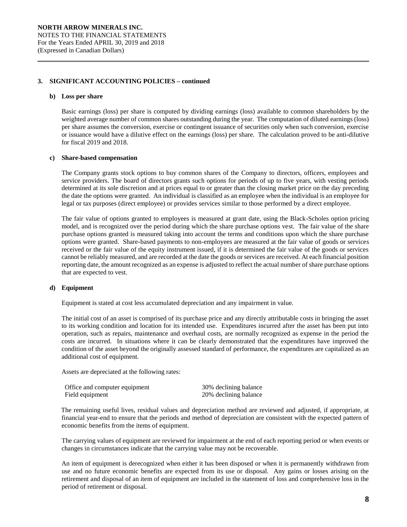## **3. SIGNIFICANT ACCOUNTING POLICIES – continued**

#### **b) Loss per share**

Basic earnings (loss) per share is computed by dividing earnings (loss) available to common shareholders by the weighted average number of common shares outstanding during the year. The computation of diluted earnings (loss) per share assumes the conversion, exercise or contingent issuance of securities only when such conversion, exercise or issuance would have a dilutive effect on the earnings (loss) per share. The calculation proved to be anti-dilutive for fiscal 2019 and 2018.

## **c) Share-based compensation**

The Company grants stock options to buy common shares of the Company to directors, officers, employees and service providers. The board of directors grants such options for periods of up to five years, with vesting periods determined at its sole discretion and at prices equal to or greater than the closing market price on the day preceding the date the options were granted. An individual is classified as an employee when the individual is an employee for legal or tax purposes (direct employee) or provides services similar to those performed by a direct employee.

The fair value of options granted to employees is measured at grant date, using the Black-Scholes option pricing model, and is recognized over the period during which the share purchase options vest. The fair value of the share purchase options granted is measured taking into account the terms and conditions upon which the share purchase options were granted. Share-based payments to non-employees are measured at the fair value of goods or services received or the fair value of the equity instrument issued, if it is determined the fair value of the goods or services cannot be reliably measured, and are recorded at the date the goods or services are received. At each financial position reporting date, the amount recognized as an expense is adjusted to reflect the actual number of share purchase options that are expected to vest.

## **d) Equipment**

Equipment is stated at cost less accumulated depreciation and any impairment in value.

The initial cost of an asset is comprised of its purchase price and any directly attributable costs in bringing the asset to its working condition and location for its intended use. Expenditures incurred after the asset has been put into operation, such as repairs, maintenance and overhaul costs, are normally recognized as expense in the period the costs are incurred. In situations where it can be clearly demonstrated that the expenditures have improved the condition of the asset beyond the originally assessed standard of performance, the expenditures are capitalized as an additional cost of equipment.

Assets are depreciated at the following rates:

| Office and computer equipment | 30% declining balance |
|-------------------------------|-----------------------|
| Field equipment               | 20% declining balance |

The remaining useful lives, residual values and depreciation method are reviewed and adjusted, if appropriate, at financial year-end to ensure that the periods and method of depreciation are consistent with the expected pattern of economic benefits from the items of equipment.

The carrying values of equipment are reviewed for impairment at the end of each reporting period or when events or changes in circumstances indicate that the carrying value may not be recoverable.

An item of equipment is derecognized when either it has been disposed or when it is permanently withdrawn from use and no future economic benefits are expected from its use or disposal. Any gains or losses arising on the retirement and disposal of an item of equipment are included in the statement of loss and comprehensive loss in the period of retirement or disposal.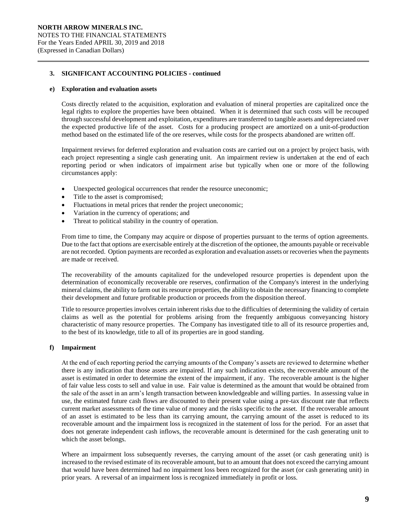## **3. SIGNIFICANT ACCOUNTING POLICIES - continued**

#### **e) Exploration and evaluation assets**

Costs directly related to the acquisition, exploration and evaluation of mineral properties are capitalized once the legal rights to explore the properties have been obtained. When it is determined that such costs will be recouped through successful development and exploitation, expenditures are transferred to tangible assets and depreciated over the expected productive life of the asset. Costs for a producing prospect are amortized on a unit-of-production method based on the estimated life of the ore reserves, while costs for the prospects abandoned are written off.

Impairment reviews for deferred exploration and evaluation costs are carried out on a project by project basis, with each project representing a single cash generating unit. An impairment review is undertaken at the end of each reporting period or when indicators of impairment arise but typically when one or more of the following circumstances apply:

- Unexpected geological occurrences that render the resource uneconomic;
- Title to the asset is compromised;
- Fluctuations in metal prices that render the project uneconomic;
- Variation in the currency of operations; and
- Threat to political stability in the country of operation.

From time to time, the Company may acquire or dispose of properties pursuant to the terms of option agreements. Due to the fact that options are exercisable entirely at the discretion of the optionee, the amounts payable or receivable are not recorded. Option payments are recorded as exploration and evaluation assets or recoveries when the payments are made or received.

The recoverability of the amounts capitalized for the undeveloped resource properties is dependent upon the determination of economically recoverable ore reserves, confirmation of the Company's interest in the underlying mineral claims, the ability to farm out its resource properties, the ability to obtain the necessary financing to complete their development and future profitable production or proceeds from the disposition thereof.

Title to resource properties involves certain inherent risks due to the difficulties of determining the validity of certain claims as well as the potential for problems arising from the frequently ambiguous conveyancing history characteristic of many resource properties. The Company has investigated title to all of its resource properties and, to the best of its knowledge, title to all of its properties are in good standing.

## **f) Impairment**

At the end of each reporting period the carrying amounts of the Company's assets are reviewed to determine whether there is any indication that those assets are impaired. If any such indication exists, the recoverable amount of the asset is estimated in order to determine the extent of the impairment, if any. The recoverable amount is the higher of fair value less costs to sell and value in use. Fair value is determined as the amount that would be obtained from the sale of the asset in an arm's length transaction between knowledgeable and willing parties. In assessing value in use, the estimated future cash flows are discounted to their present value using a pre-tax discount rate that reflects current market assessments of the time value of money and the risks specific to the asset. If the recoverable amount of an asset is estimated to be less than its carrying amount, the carrying amount of the asset is reduced to its recoverable amount and the impairment loss is recognized in the statement of loss for the period. For an asset that does not generate independent cash inflows, the recoverable amount is determined for the cash generating unit to which the asset belongs.

Where an impairment loss subsequently reverses, the carrying amount of the asset (or cash generating unit) is increased to the revised estimate of its recoverable amount, but to an amount that does not exceed the carrying amount that would have been determined had no impairment loss been recognized for the asset (or cash generating unit) in prior years. A reversal of an impairment loss is recognized immediately in profit or loss.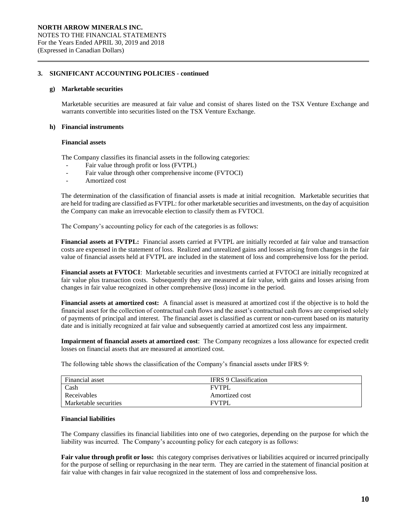## **3. SIGNIFICANT ACCOUNTING POLICIES - continued**

#### **g) Marketable securities**

Marketable securities are measured at fair value and consist of shares listed on the TSX Venture Exchange and warrants convertible into securities listed on the TSX Venture Exchange.

#### **h) Financial instruments**

## **Financial assets**

The Company classifies its financial assets in the following categories:

- Fair value through profit or loss (FVTPL)
- Fair value through other comprehensive income (FVTOCI)
- Amortized cost

The determination of the classification of financial assets is made at initial recognition. Marketable securities that are held for trading are classified as FVTPL: for other marketable securities and investments, on the day of acquisition the Company can make an irrevocable election to classify them as FVTOCI.

The Company's accounting policy for each of the categories is as follows:

**Financial assets at FVTPL:** Financial assets carried at FVTPL are initially recorded at fair value and transaction costs are expensed in the statement of loss. Realized and unrealized gains and losses arising from changes in the fair value of financial assets held at FVTPL are included in the statement of loss and comprehensive loss for the period.

**Financial assets at FVTOCI**: Marketable securities and investments carried at FVTOCI are initially recognized at fair value plus transaction costs. Subsequently they are measured at fair value, with gains and losses arising from changes in fair value recognized in other comprehensive (loss) income in the period.

**Financial assets at amortized cost:** A financial asset is measured at amortized cost if the objective is to hold the financial asset for the collection of contractual cash flows and the asset's contractual cash flows are comprised solely of payments of principal and interest. The financial asset is classified as current or non-current based on its maturity date and is initially recognized at fair value and subsequently carried at amortized cost less any impairment.

**Impairment of financial assets at amortized cost**: The Company recognizes a loss allowance for expected credit losses on financial assets that are measured at amortized cost.

The following table shows the classification of the Company's financial assets under IFRS 9:

| Financial asset       | <b>IFRS 9 Classification</b> |
|-----------------------|------------------------------|
| Cash                  | <b>FVTPL</b>                 |
| Receivables           | Amortized cost               |
| Marketable securities | <b>FVTPI</b>                 |

## **Financial liabilities**

The Company classifies its financial liabilities into one of two categories, depending on the purpose for which the liability was incurred. The Company's accounting policy for each category is as follows:

**Fair value through profit or loss:** this category comprises derivatives or liabilities acquired or incurred principally for the purpose of selling or repurchasing in the near term. They are carried in the statement of financial position at fair value with changes in fair value recognized in the statement of loss and comprehensive loss.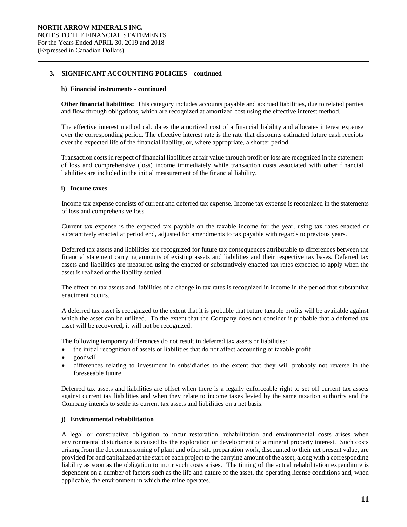## **3. SIGNIFICANT ACCOUNTING POLICIES – continued**

#### **h) Financial instruments - continued**

**Other financial liabilities:** This category includes accounts payable and accrued liabilities, due to related parties and flow through obligations, which are recognized at amortized cost using the effective interest method.

The effective interest method calculates the amortized cost of a financial liability and allocates interest expense over the corresponding period. The effective interest rate is the rate that discounts estimated future cash receipts over the expected life of the financial liability, or, where appropriate, a shorter period.

Transaction costs in respect of financial liabilities at fair value through profit or loss are recognized in the statement of loss and comprehensive (loss) income immediately while transaction costs associated with other financial liabilities are included in the initial measurement of the financial liability.

## **i) Income taxes**

Income tax expense consists of current and deferred tax expense. Income tax expense is recognized in the statements of loss and comprehensive loss.

Current tax expense is the expected tax payable on the taxable income for the year, using tax rates enacted or substantively enacted at period end, adjusted for amendments to tax payable with regards to previous years.

Deferred tax assets and liabilities are recognized for future tax consequences attributable to differences between the financial statement carrying amounts of existing assets and liabilities and their respective tax bases. Deferred tax assets and liabilities are measured using the enacted or substantively enacted tax rates expected to apply when the asset is realized or the liability settled.

The effect on tax assets and liabilities of a change in tax rates is recognized in income in the period that substantive enactment occurs.

A deferred tax asset is recognized to the extent that it is probable that future taxable profits will be available against which the asset can be utilized. To the extent that the Company does not consider it probable that a deferred tax asset will be recovered, it will not be recognized.

The following temporary differences do not result in deferred tax assets or liabilities:

- the initial recognition of assets or liabilities that do not affect accounting or taxable profit
- goodwill
- differences relating to investment in subsidiaries to the extent that they will probably not reverse in the foreseeable future.

Deferred tax assets and liabilities are offset when there is a legally enforceable right to set off current tax assets against current tax liabilities and when they relate to income taxes levied by the same taxation authority and the Company intends to settle its current tax assets and liabilities on a net basis.

#### **j) Environmental rehabilitation**

A legal or constructive obligation to incur restoration, rehabilitation and environmental costs arises when environmental disturbance is caused by the exploration or development of a mineral property interest. Such costs arising from the decommissioning of plant and other site preparation work, discounted to their net present value, are provided for and capitalized at the start of each project to the carrying amount of the asset, along with a corresponding liability as soon as the obligation to incur such costs arises. The timing of the actual rehabilitation expenditure is dependent on a number of factors such as the life and nature of the asset, the operating license conditions and, when applicable, the environment in which the mine operates.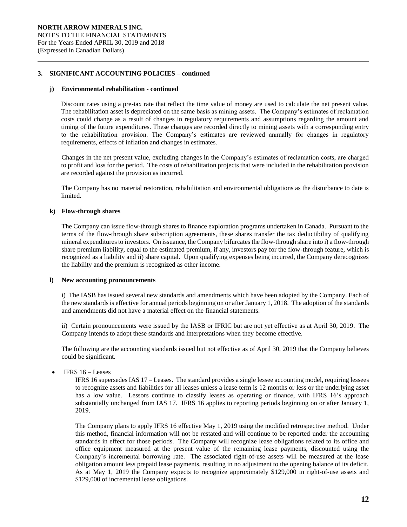## **3. SIGNIFICANT ACCOUNTING POLICIES – continued**

#### **j) Environmental rehabilitation - continued**

Discount rates using a pre-tax rate that reflect the time value of money are used to calculate the net present value. The rehabilitation asset is depreciated on the same basis as mining assets. The Company's estimates of reclamation costs could change as a result of changes in regulatory requirements and assumptions regarding the amount and timing of the future expenditures. These changes are recorded directly to mining assets with a corresponding entry to the rehabilitation provision. The Company's estimates are reviewed annually for changes in regulatory requirements, effects of inflation and changes in estimates.

Changes in the net present value, excluding changes in the Company's estimates of reclamation costs, are charged to profit and loss for the period. The costs of rehabilitation projects that were included in the rehabilitation provision are recorded against the provision as incurred.

The Company has no material restoration, rehabilitation and environmental obligations as the disturbance to date is limited.

#### **k) Flow-through shares**

The Company can issue flow-through shares to finance exploration programs undertaken in Canada. Pursuant to the terms of the flow-through share subscription agreements, these shares transfer the tax deductibility of qualifying mineral expenditures to investors. On issuance, the Company bifurcates the flow-through share into i) a flow-through share premium liability, equal to the estimated premium, if any, investors pay for the flow-through feature, which is recognized as a liability and ii) share capital. Upon qualifying expenses being incurred, the Company derecognizes the liability and the premium is recognized as other income.

#### **l) New accounting pronouncements**

i) The IASB has issued several new standards and amendments which have been adopted by the Company. Each of the new standards is effective for annual periods beginning on or after January 1, 2018. The adoption of the standards and amendments did not have a material effect on the financial statements.

ii) Certain pronouncements were issued by the IASB or IFRIC but are not yet effective as at April 30, 2019. The Company intends to adopt these standards and interpretations when they become effective.

The following are the accounting standards issued but not effective as of April 30, 2019 that the Company believes could be significant.

IFRS 16 – Leases

IFRS 16 supersedes IAS 17 – Leases. The standard provides a single lessee accounting model, requiring lessees to recognize assets and liabilities for all leases unless a lease term is 12 months or less or the underlying asset has a low value. Lessors continue to classify leases as operating or finance, with IFRS 16's approach substantially unchanged from IAS 17. IFRS 16 applies to reporting periods beginning on or after January 1, 2019.

The Company plans to apply IFRS 16 effective May 1, 2019 using the modified retrospective method. Under this method, financial information will not be restated and will continue to be reported under the accounting standards in effect for those periods. The Company will recognize lease obligations related to its office and office equipment measured at the present value of the remaining lease payments, discounted using the Company's incremental borrowing rate. The associated right-of-use assets will be measured at the lease obligation amount less prepaid lease payments, resulting in no adjustment to the opening balance of its deficit. As at May 1, 2019 the Company expects to recognize approximately \$129,000 in right-of-use assets and \$129,000 of incremental lease obligations.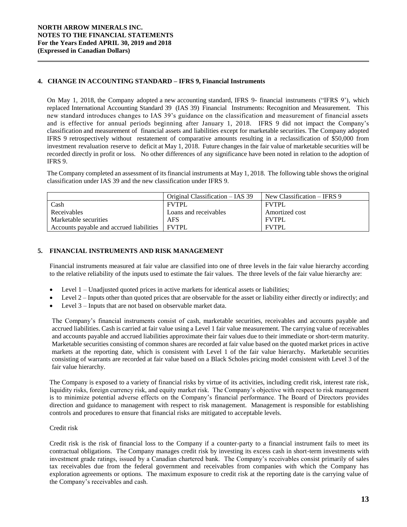# **4. CHANGE IN ACCOUNTING STANDARD – IFRS 9, Financial Instruments**

On May 1, 2018, the Company adopted a new accounting standard, IFRS 9- financial instruments ("IFRS 9'), which replaced International Accounting Standard 39 (IAS 39) Financial Instruments: Recognition and Measurement. This new standard introduces changes to IAS 39's guidance on the classification and measurement of financial assets and is effective for annual periods beginning after January 1, 2018. IFRS 9 did not impact the Company's classification and measurement of financial assets and liabilities except for marketable securities. The Company adopted IFRS 9 retrospectively without restatement of comparative amounts resulting in a reclassification of \$50,000 from investment revaluation reserve to deficit at May 1, 2018. Future changes in the fair value of marketable securities will be recorded directly in profit or loss. No other differences of any significance have been noted in relation to the adoption of IFRS 9.

The Company completed an assessment of its financial instruments at May 1, 2018. The following table shows the original classification under IAS 39 and the new classification under IFRS 9.

|                                          | Original Classification – IAS 39 | New Classification $-$ IFRS 9 |
|------------------------------------------|----------------------------------|-------------------------------|
| Cash                                     | <b>FVTPL</b>                     | <b>FVTPI</b>                  |
| Receivables                              | Loans and receivables            | Amortized cost                |
| Marketable securities                    | <b>AFS</b>                       | <b>FVTPI</b>                  |
| Accounts payable and accrued liabilities | <b>FVTPL</b>                     | <b>FVTPI</b>                  |

## **5. FINANCIAL INSTRUMENTS AND RISK MANAGEMENT**

Financial instruments measured at fair value are classified into one of three levels in the fair value hierarchy according to the relative reliability of the inputs used to estimate the fair values. The three levels of the fair value hierarchy are:

- Level 1 Unadjusted quoted prices in active markets for identical assets or liabilities;
- Level 2 Inputs other than quoted prices that are observable for the asset or liability either directly or indirectly; and
- Level 3 Inputs that are not based on observable market data.

The Company's financial instruments consist of cash, marketable securities, receivables and accounts payable and accrued liabilities. Cash is carried at fair value using a Level 1 fair value measurement. The carrying value of receivables and accounts payable and accrued liabilities approximate their fair values due to their immediate or short-term maturity. Marketable securities consisting of common shares are recorded at fair value based on the quoted market prices in active markets at the reporting date, which is consistent with Level 1 of the fair value hierarchy**.** Marketable securities consisting of warrants are recorded at fair value based on a Black Scholes pricing model consistent with Level 3 of the fair value hierarchy.

The Company is exposed to a variety of financial risks by virtue of its activities, including credit risk, interest rate risk, liquidity risks, foreign currency risk, and equity market risk. The Company's objective with respect to risk management is to minimize potential adverse effects on the Company's financial performance. The Board of Directors provides direction and guidance to management with respect to risk management. Management is responsible for establishing controls and procedures to ensure that financial risks are mitigated to acceptable levels.

## Credit risk

Credit risk is the risk of financial loss to the Company if a counter-party to a financial instrument fails to meet its contractual obligations. The Company manages credit risk by investing its excess cash in short-term investments with investment grade ratings, issued by a Canadian chartered bank. The Company's receivables consist primarily of sales tax receivables due from the federal government and receivables from companies with which the Company has exploration agreements or options. The maximum exposure to credit risk at the reporting date is the carrying value of the Company's receivables and cash.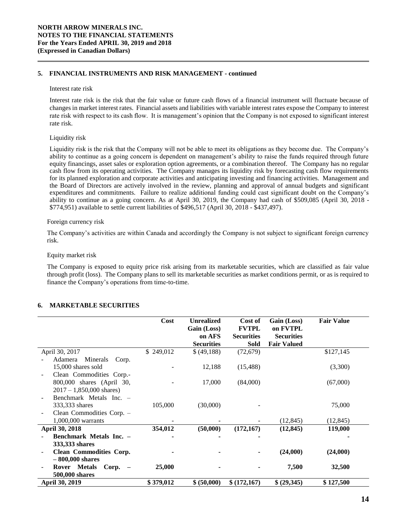# **5. FINANCIAL INSTRUMENTS AND RISK MANAGEMENT - continued**

## Interest rate risk

Interest rate risk is the risk that the fair value or future cash flows of a financial instrument will fluctuate because of changes in market interest rates. Financial assets and liabilities with variable interest rates expose the Company to interest rate risk with respect to its cash flow. It is management's opinion that the Company is not exposed to significant interest rate risk.

## Liquidity risk

Liquidity risk is the risk that the Company will not be able to meet its obligations as they become due. The Company's ability to continue as a going concern is dependent on management's ability to raise the funds required through future equity financings, asset sales or exploration option agreements, or a combination thereof. The Company has no regular cash flow from its operating activities. The Company manages its liquidity risk by forecasting cash flow requirements for its planned exploration and corporate activities and anticipating investing and financing activities. Management and the Board of Directors are actively involved in the review, planning and approval of annual budgets and significant expenditures and commitments. Failure to realize additional funding could cast significant doubt on the Company's ability to continue as a going concern. As at April 30, 2019, the Company had cash of \$509,085 (April 30, 2018 - \$774,951) available to settle current liabilities of \$496,517 (April 30, 2018 - \$437,497).

## Foreign currency risk

The Company's activities are within Canada and accordingly the Company is not subject to significant foreign currency risk.

#### Equity market risk

The Company is exposed to equity price risk arising from its marketable securities, which are classified as fair value through profit (loss). The Company plans to sell its marketable securities as market conditions permit, or as is required to finance the Company's operations from time-to-time.

|                                | Cost      | <b>Unrealized</b><br>Gain (Loss)<br>on AFS<br><b>Securities</b> | Cost of<br><b>FVTPL</b><br><b>Securities</b><br>Sold | Gain (Loss)<br>on FVTPL<br><b>Securities</b><br><b>Fair Valued</b> | <b>Fair Value</b> |
|--------------------------------|-----------|-----------------------------------------------------------------|------------------------------------------------------|--------------------------------------------------------------------|-------------------|
| April 30, 2017                 | \$249,012 | \$(49,188)                                                      | (72, 679)                                            |                                                                    | \$127,145         |
| Minerals<br>Adamera<br>Corp.   |           |                                                                 |                                                      |                                                                    |                   |
| 15,000 shares sold             |           | 12,188                                                          | (15, 488)                                            |                                                                    | (3,300)           |
| Clean Commodities Corp.-       |           |                                                                 |                                                      |                                                                    |                   |
| 800,000 shares (April 30,      |           | 17,000                                                          | (84,000)                                             |                                                                    | (67,000)          |
| $2017 - 1,850,000$ shares)     |           |                                                                 |                                                      |                                                                    |                   |
| Benchmark Metals Inc. -        |           |                                                                 |                                                      |                                                                    |                   |
| 333,333 shares                 | 105,000   | (30,000)                                                        |                                                      |                                                                    | 75,000            |
| Clean Commodities Corp. -      |           |                                                                 |                                                      |                                                                    |                   |
| 1,000,000 warrants             |           |                                                                 |                                                      | (12, 845)                                                          | (12, 845)         |
| <b>April 30, 2018</b>          | 354,012   | (50,000)                                                        | (172, 167)                                           | (12, 845)                                                          | 119,000           |
| Benchmark Metals Inc. -        |           |                                                                 |                                                      |                                                                    |                   |
| 333,333 shares                 |           |                                                                 |                                                      |                                                                    |                   |
| <b>Clean Commodities Corp.</b> |           |                                                                 |                                                      | (24,000)                                                           | (24,000)          |
| $-800,000$ shares              |           |                                                                 |                                                      |                                                                    |                   |
| Rover Metals<br>$Corp. -$      | 25,000    |                                                                 |                                                      | 7,500                                                              | 32,500            |
| 500,000 shares                 |           |                                                                 |                                                      |                                                                    |                   |
| <b>April 30, 2019</b>          | \$379,012 | \$ (50,000)                                                     | \$(172,167)                                          | \$(29,345)                                                         | \$127,500         |

# **6. MARKETABLE SECURITIES**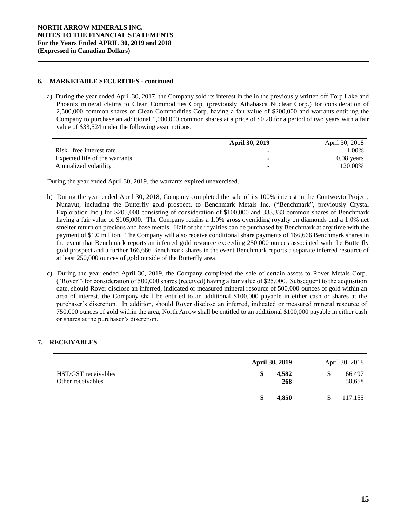## **6. MARKETABLE SECURITIES - continued**

a) During the year ended April 30, 2017, the Company sold its interest in the in the previously written off Torp Lake and Phoenix mineral claims to Clean Commodities Corp. (previously Athabasca Nuclear Corp.) for consideration of 2,500,000 common shares of Clean Commodities Corp. having a fair value of \$200,000 and warrants entitling the Company to purchase an additional 1,000,000 common shares at a price of \$0.20 for a period of two years with a fair value of \$33,524 under the following assumptions.

|                               | <b>April 30, 2019</b> | April 30, 2018 |
|-------------------------------|-----------------------|----------------|
| Risk – free interest rate     |                       | $1.00\%$       |
| Expected life of the warrants |                       | $0.08$ years   |
| Annualized volatility         |                       | 120.00%        |

During the year ended April 30, 2019, the warrants expired unexercised.

- b) During the year ended April 30, 2018, Company completed the sale of its 100% interest in the Contwoyto Project, Nunavut, including the Butterfly gold prospect, to Benchmark Metals Inc. ("Benchmark", previously Crystal Exploration Inc.) for \$205,000 consisting of consideration of \$100,000 and 333,333 common shares of Benchmark having a fair value of \$105,000. The Company retains a 1.0% gross overriding royalty on diamonds and a 1.0% net smelter return on precious and base metals. Half of the royalties can be purchased by Benchmark at any time with the payment of \$1.0 million. The Company will also receive conditional share payments of 166,666 Benchmark shares in the event that Benchmark reports an inferred gold resource exceeding 250,000 ounces associated with the Butterfly gold prospect and a further 166,666 Benchmark shares in the event Benchmark reports a separate inferred resource of at least 250,000 ounces of gold outside of the Butterfly area.
- c) During the year ended April 30, 2019, the Company completed the sale of certain assets to Rover Metals Corp. ("Rover") for consideration of 500,000 shares (received) having a fair value of \$25,000. Subsequent to the acquisition date, should Rover disclose an inferred, indicated or measured mineral resource of 500,000 ounces of gold within an area of interest, the Company shall be entitled to an additional \$100,000 payable in either cash or shares at the purchaser's discretion. In addition, should Rover disclose an inferred, indicated or measured mineral resource of 750,000 ounces of gold within the area, North Arrow shall be entitled to an additional \$100,000 payable in either cash or shares at the purchaser's discretion.

# **7. RECEIVABLES**

|                                          | <b>April 30, 2019</b> | April 30, 2018   |
|------------------------------------------|-----------------------|------------------|
| HST/GST receivables<br>Other receivables | 4,582<br>D<br>268     | 66,497<br>50,658 |
|                                          | 4.850<br>S            | 117,155          |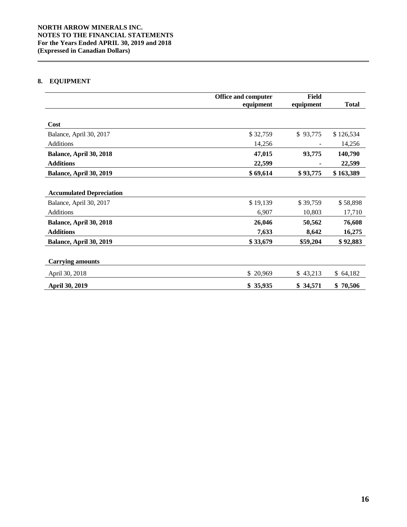# **NORTH ARROW MINERALS INC. NOTES TO THE FINANCIAL STATEMENTS For the Years Ended APRIL 30, 2019 and 2018 (Expressed in Canadian Dollars)**

# **8. EQUIPMENT**

|                                 | <b>Office and computer</b> |           |              |  |
|---------------------------------|----------------------------|-----------|--------------|--|
|                                 | equipment                  | equipment | <b>Total</b> |  |
|                                 |                            |           |              |  |
| Cost                            |                            |           |              |  |
| Balance, April 30, 2017         | \$32,759                   | \$93,775  | \$126,534    |  |
| Additions                       | 14,256                     |           | 14,256       |  |
| Balance, April 30, 2018         | 47,015                     | 93,775    | 140,790      |  |
| <b>Additions</b>                | 22,599                     |           | 22,599       |  |
| Balance, April 30, 2019         | \$69,614                   | \$93,775  | \$163,389    |  |
|                                 |                            |           |              |  |
| <b>Accumulated Depreciation</b> |                            |           |              |  |
| Balance, April 30, 2017         | \$19,139                   | \$39,759  | \$58,898     |  |
| <b>Additions</b>                | 6,907                      | 10,803    | 17,710       |  |
| Balance, April 30, 2018         | 26,046                     | 50,562    | 76,608       |  |
| <b>Additions</b>                | 7,633                      | 8,642     | 16,275       |  |
| Balance, April 30, 2019         | \$33,679                   | \$59,204  | \$92,883     |  |
|                                 |                            |           |              |  |
| <b>Carrying amounts</b>         |                            |           |              |  |
| April 30, 2018                  | \$20,969                   | \$43,213  | \$64,182     |  |
| April 30, 2019                  | \$35,935                   | \$34,571  | \$70,506     |  |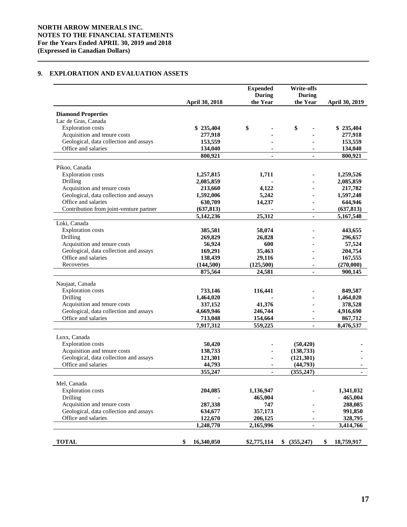# **9. EXPLORATION AND EVALUATION ASSETS**

|                                         |                       | <b>Expended</b>           | <b>Write-offs</b>         |                  |
|-----------------------------------------|-----------------------|---------------------------|---------------------------|------------------|
|                                         | <b>April 30, 2018</b> | <b>During</b><br>the Year | <b>During</b><br>the Year | April 30, 2019   |
| <b>Diamond Properties</b>               |                       |                           |                           |                  |
| Lac de Gras, Canada                     |                       |                           |                           |                  |
| <b>Exploration</b> costs                | \$235,404             | \$                        | \$                        | \$235,404        |
| Acquisition and tenure costs            | 277,918               |                           |                           | 277,918          |
| Geological, data collection and assays  | 153,559               |                           |                           | 153,559          |
| Office and salaries                     | 134,040               |                           |                           | 134,040          |
|                                         | 800,921               | $\blacksquare$            | $\blacksquare$            | 800,921          |
| Pikoo, Canada                           |                       |                           |                           |                  |
| <b>Exploration</b> costs                | 1,257,815             | 1,711                     |                           | 1,259,526        |
| Drilling                                | 2,085,859             |                           |                           | 2,085,859        |
| Acquisition and tenure costs            | 213,660               | 4,122                     |                           | 217,782          |
| Geological, data collection and assays  | 1,592,006             | 5,242                     |                           | 1,597,248        |
| Office and salaries                     | 630,709               | 14,237                    |                           | 644,946          |
| Contribution from joint-venture partner | (637, 813)            |                           |                           | (637, 813)       |
|                                         | 5,142,236             | 25,312                    | ÷,                        | 5,167,548        |
| Loki, Canada                            |                       |                           |                           |                  |
| <b>Exploration</b> costs                | 385,581               | 58,074                    |                           | 443,655          |
| Drilling                                | 269,829               | 26,828                    |                           | 296,657          |
| Acquisition and tenure costs            | 56,924                | 600                       |                           | 57,524           |
| Geological, data collection and assays  | 169,291               | 35,463                    |                           | 204,754          |
| Office and salaries                     | 138,439               | 29,116                    |                           | 167,555          |
| Recoveries                              | (144, 500)            | (125,500)                 |                           | (270,000)        |
|                                         | 875,564               | 24,581                    | $\blacksquare$            | 900,145          |
| Naujaat, Canada                         |                       |                           |                           |                  |
| <b>Exploration</b> costs                | 733,146               | 116,441                   |                           | 849,587          |
| Drilling                                | 1,464,020             |                           |                           | 1,464,020        |
| Acquisition and tenure costs            | 337,152               | 41,376                    |                           | 378,528          |
| Geological, data collection and assays  | 4,669,946             | 246,744                   |                           | 4,916,690        |
| Office and salaries                     | 713,048               | 154,664                   |                           | 867,712          |
|                                         | 7,917,312             | 559,225                   |                           | 8,476,537        |
| Luxx, Canada                            |                       |                           |                           |                  |
| <b>Exploration</b> costs                | 50,420                |                           | (50, 420)                 |                  |
| Acquisition and tenure costs            | 138,733               |                           | (138, 733)                |                  |
| Geological, data collection and assays  | 121,301               |                           | (121,301)                 |                  |
| Office and salaries                     | 44,793                |                           | (44, 793)                 |                  |
|                                         | 355,247               | $\blacksquare$            | (355, 247)                |                  |
| Mel, Canada                             |                       |                           |                           |                  |
| Exploration costs                       | 204,085               | 1,136,947                 |                           | 1,341,032        |
| Drilling                                |                       | 465,004                   |                           | 465,004          |
| Acquisition and tenure costs            | 287,338               | 747                       |                           | 288,085          |
| Geological, data collection and assays  | 634,677               | 357,173                   |                           | 991,850          |
| Office and salaries                     | 122,670               | 206,125                   |                           | 328,795          |
|                                         | 1,248,770             | 2,165,996                 |                           | 3,414,766        |
|                                         |                       |                           |                           |                  |
| <b>TOTAL</b>                            | 16,340,050            | \$2,775,114               | \$<br>(355, 247)          | \$<br>18,759,917 |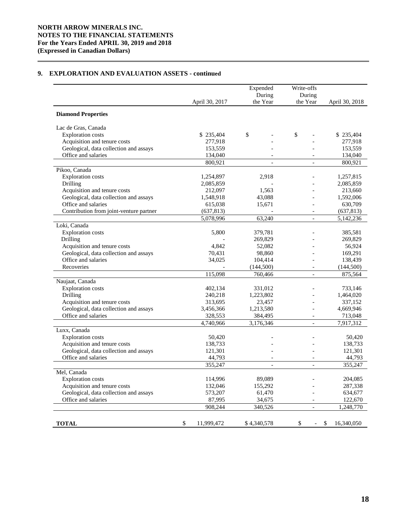# **9. EXPLORATION AND EVALUATION ASSETS - continued**

|                                         |                  | Expended<br>During | Write-offs<br>During |                  |
|-----------------------------------------|------------------|--------------------|----------------------|------------------|
|                                         | April 30, 2017   | the Year           | the Year             | April 30, 2018   |
| <b>Diamond Properties</b>               |                  |                    |                      |                  |
| Lac de Gras, Canada                     |                  |                    |                      |                  |
| <b>Exploration</b> costs                | \$235,404        | \$                 | \$                   | \$235,404        |
| Acquisition and tenure costs            | 277,918          |                    |                      | 277,918          |
| Geological, data collection and assays  | 153,559          |                    |                      | 153,559          |
| Office and salaries                     | 134,040          | $\overline{a}$     |                      | 134,040          |
|                                         | 800,921          | $\overline{a}$     | $\overline{a}$       | 800,921          |
| Pikoo, Canada                           |                  |                    |                      |                  |
| <b>Exploration</b> costs                | 1,254,897        | 2,918              |                      | 1,257,815        |
| Drilling                                | 2,085,859        |                    |                      | 2,085,859        |
| Acquisition and tenure costs            | 212,097          | 1,563              |                      | 213,660          |
| Geological, data collection and assays  | 1,548,918        | 43,088             |                      | 1,592,006        |
| Office and salaries                     | 615,038          | 15,671             |                      | 630,709          |
| Contribution from joint-venture partner | (637, 813)       |                    | $\overline{a}$       | (637, 813)       |
|                                         | 5,078,996        | 63,240             | $\overline{a}$       | 5,142,236        |
| Loki, Canada                            |                  |                    |                      |                  |
| <b>Exploration</b> costs                | 5,800            | 379,781            |                      | 385,581          |
| Drilling                                |                  | 269,829            |                      | 269,829          |
| Acquisition and tenure costs            | 4,842            | 52,082             |                      | 56,924           |
| Geological, data collection and assays  | 70,431           | 98,860             |                      | 169,291          |
| Office and salaries                     | 34,025           | 104,414            |                      | 138,439          |
| Recoveries                              |                  | (144, 500)         | $\equiv$             | (144, 500)       |
|                                         | 115,098          | 760,466            | $\frac{1}{2}$        | 875,564          |
| Naujaat, Canada                         |                  |                    |                      |                  |
| <b>Exploration</b> costs                | 402,134          | 331,012            |                      | 733,146          |
| Drilling                                | 240,218          | 1,223,802          |                      | 1,464,020        |
| Acquisition and tenure costs            | 313,695          | 23,457             |                      | 337,152          |
| Geological, data collection and assays  | 3,456,366        | 1,213,580          |                      | 4,669,946        |
| Office and salaries                     | 328,553          | 384,495            | $\overline{a}$       | 713,048          |
|                                         | 4,740,966        | 3,176,346          | $\overline{a}$       | 7,917,312        |
| Luxx, Canada                            |                  |                    |                      |                  |
| <b>Exploration costs</b>                | 50,420           |                    |                      | 50,420           |
| Acquisition and tenure costs            | 138,733          |                    |                      | 138,733          |
| Geological, data collection and assays  | 121,301          |                    |                      | 121,301          |
| Office and salaries                     | 44,793           |                    |                      | 44,793           |
|                                         | 355,247          | $\overline{a}$     | $\overline{a}$       | 355,247          |
| Mel, Canada                             |                  |                    |                      |                  |
| <b>Exploration costs</b>                | 114,996          | 89,089             |                      | 204,085          |
| Acquisition and tenure costs            | 132,046          | 155,292            |                      | 287,338          |
| Geological, data collection and assays  | 573,207          | 61,470             |                      | 634,677          |
| Office and salaries                     | 87,995           | 34,675             |                      | 122,670          |
|                                         | 908,244          | 340,526            | $\overline{a}$       | 1,248,770        |
| <b>TOTAL</b>                            | \$<br>11,999,472 | \$4,340,578        | \$                   | \$<br>16,340,050 |
|                                         |                  |                    |                      |                  |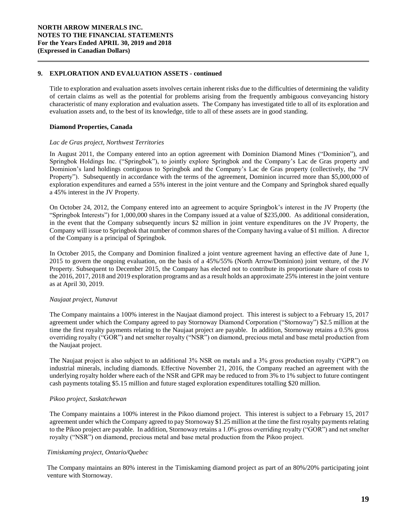## **9. EXPLORATION AND EVALUATION ASSETS - continued**

Title to exploration and evaluation assets involves certain inherent risks due to the difficulties of determining the validity of certain claims as well as the potential for problems arising from the frequently ambiguous conveyancing history characteristic of many exploration and evaluation assets. The Company has investigated title to all of its exploration and evaluation assets and, to the best of its knowledge, title to all of these assets are in good standing.

## **Diamond Properties, Canada**

## *Lac de Gras project, Northwest Territories*

In August 2011, the Company entered into an option agreement with Dominion Diamond Mines ("Dominion"), and Springbok Holdings Inc. ("Springbok"), to jointly explore Springbok and the Company's Lac de Gras property and Dominion's land holdings contiguous to Springbok and the Company's Lac de Gras property (collectively, the "JV Property"). Subsequently in accordance with the terms of the agreement, Dominion incurred more than \$5,000,000 of exploration expenditures and earned a 55% interest in the joint venture and the Company and Springbok shared equally a 45% interest in the JV Property.

On October 24, 2012, the Company entered into an agreement to acquire Springbok's interest in the JV Property (the "Springbok Interests") for 1,000,000 shares in the Company issued at a value of \$235,000. As additional consideration, in the event that the Company subsequently incurs \$2 million in joint venture expenditures on the JV Property, the Company will issue to Springbok that number of common shares of the Company having a value of \$1 million. A director of the Company is a principal of Springbok.

In October 2015, the Company and Dominion finalized a joint venture agreement having an effective date of June 1, 2015 to govern the ongoing evaluation, on the basis of a 45%/55% (North Arrow/Dominion) joint venture, of the JV Property. Subsequent to December 2015, the Company has elected not to contribute its proportionate share of costs to the 2016, 2017, 2018 and 2019 exploration programs and as a result holds an approximate 25% interest in the joint venture as at April 30, 2019.

## *Naujaat project, Nunavut*

The Company maintains a 100% interest in the Naujaat diamond project. This interest is subject to a February 15, 2017 agreement under which the Company agreed to pay Stornoway Diamond Corporation ("Stornoway") \$2.5 million at the time the first royalty payments relating to the Naujaat project are payable. In addition, Stornoway retains a 0.5% gross overriding royalty ("GOR") and net smelter royalty ("NSR") on diamond, precious metal and base metal production from the Naujaat project.

The Naujaat project is also subject to an additional 3% NSR on metals and a 3% gross production royalty ("GPR") on industrial minerals, including diamonds. Effective November 21, 2016, the Company reached an agreement with the underlying royalty holder where each of the NSR and GPR may be reduced to from 3% to 1% subject to future contingent cash payments totaling \$5.15 million and future staged exploration expenditures totalling \$20 million.

## *Pikoo project, Saskatchewan*

The Company maintains a 100% interest in the Pikoo diamond project. This interest is subject to a February 15, 2017 agreement under which the Company agreed to pay Stornoway \$1.25 million at the time the first royalty payments relating to the Pikoo project are payable. In addition, Stornoway retains a 1.0% gross overriding royalty ("GOR") and net smelter royalty ("NSR") on diamond, precious metal and base metal production from the Pikoo project.

## *Timiskaming project, Ontario/Quebec*

The Company maintains an 80% interest in the Timiskaming diamond project as part of an 80%/20% participating joint venture with Stornoway.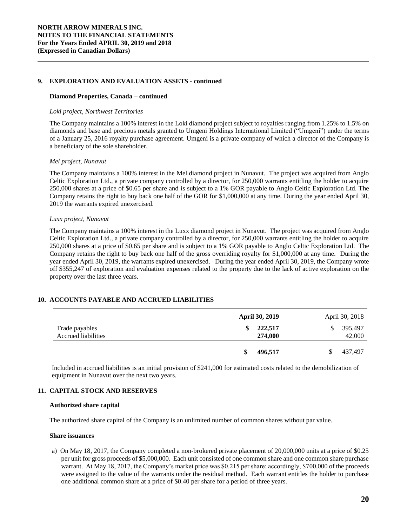## **9. EXPLORATION AND EVALUATION ASSETS - continued**

#### **Diamond Properties, Canada – continued**

#### *Loki project, Northwest Territories*

The Company maintains a 100% interest in the Loki diamond project subject to royalties ranging from 1.25% to 1.5% on diamonds and base and precious metals granted to Umgeni Holdings International Limited ("Umgeni") under the terms of a January 25, 2016 royalty purchase agreement. Umgeni is a private company of which a director of the Company is a beneficiary of the sole shareholder.

#### *Mel project, Nunavut*

The Company maintains a 100% interest in the Mel diamond project in Nunavut. The project was acquired from Anglo Celtic Exploration Ltd., a private company controlled by a director, for 250,000 warrants entitling the holder to acquire 250,000 shares at a price of \$0.65 per share and is subject to a 1% GOR payable to Anglo Celtic Exploration Ltd. The Company retains the right to buy back one half of the GOR for \$1,000,000 at any time. During the year ended April 30, 2019 the warrants expired unexercised.

#### *Luxx project, Nunavut*

The Company maintains a 100% interest in the Luxx diamond project in Nunavut. The project was acquired from Anglo Celtic Exploration Ltd., a private company controlled by a director, for 250,000 warrants entitling the holder to acquire 250,000 shares at a price of \$0.65 per share and is subject to a 1% GOR payable to Anglo Celtic Exploration Ltd. The Company retains the right to buy back one half of the gross overriding royalty for \$1,000,000 at any time. During the year ended April 30, 2019, the warrants expired unexercised. During the year ended April 30, 2019, the Company wrote off \$355,247 of exploration and evaluation expenses related to the property due to the lack of active exploration on the property over the last three years.

## **10. ACCOUNTS PAYABLE AND ACCRUED LIABILITIES**

|                                              |    | <b>April 30, 2019</b> |    | April 30, 2018    |
|----------------------------------------------|----|-----------------------|----|-------------------|
| Trade payables<br><b>Accrued liabilities</b> | \$ | 222,517<br>274,000    | \$ | 395.497<br>42,000 |
|                                              | S  | 496,517               | S  | 437,497           |

Included in accrued liabilities is an initial provision of \$241,000 for estimated costs related to the demobilization of equipment in Nunavut over the next two years.

## **11. CAPITAL STOCK AND RESERVES**

#### **Authorized share capital**

The authorized share capital of the Company is an unlimited number of common shares without par value.

## **Share issuances**

a) On May 18, 2017, the Company completed a non-brokered private placement of 20,000,000 units at a price of \$0.25 per unit for gross proceeds of \$5,000,000. Each unit consisted of one common share and one common share purchase warrant. At May 18, 2017, the Company's market price was \$0.215 per share: accordingly, \$700,000 of the proceeds were assigned to the value of the warrants under the residual method. Each warrant entitles the holder to purchase one additional common share at a price of \$0.40 per share for a period of three years.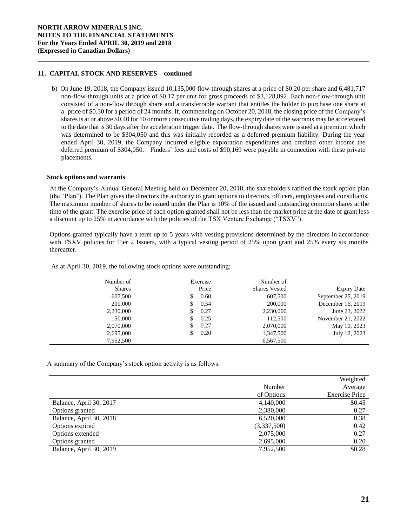## **11. CAPITAL STOCK AND RESERVES – continued**

b) On June 19, 2018, the Company issued 10,135,000 flow-through shares at a price of \$0.20 per share and 6,481,717 non-flow-through units at a price of \$0.17 per unit for gross proceeds of \$3,128,892. Each non-flow-through unit consisted of a non-flow through share and a transferrable warrant that entitles the holder to purchase one share at a price of \$0.30 for a period of 24 months. If, commencing on October 20, 2018, the closing price of the Company's sharesis at or above \$0.40 for 10 or more consecutive trading days, the expiry date of the warrants may be accelerated to the date that is 30 days after the acceleration trigger date. The flow-through shares were issued at a premium which was determined to be \$304,050 and this was initially recorded as a deferred premium liability. During the year ended April 30, 2019, the Company incurred eligible exploration expenditures and credited other income the deferred premium of \$304,050. Finders' fees and costs of \$90,169 were payable in connection with these private placements.

## **Stock options and warrants**

At the Company's Annual General Meeting held on December 20, 2018, the shareholders ratified the stock option plan (the "Plan"). The Plan gives the directors the authority to grant options to directors, officers, employees and consultants. The maximum number of shares to be issued under the Plan is 10% of the issued and outstanding common shares at the time of the grant. The exercise price of each option granted shall not be less than the market price at the date of grant less a discount up to 25% in accordance with the policies of the TSX Venture Exchange ("TSXV").

Options granted typically have a term up to 5 years with vesting provisions determined by the directors in accordance with TSXV policies for Tier 2 Issuers, with a typical vesting period of 25% upon grant and 25% every six months thereafter.

| Number of     | Exercise | Number of            |                    |
|---------------|----------|----------------------|--------------------|
| <b>Shares</b> | Price    | <b>Shares Vested</b> | <b>Expiry Date</b> |
| 607,500       | 0.60     | 607,500              | September 25, 2019 |
| 200,000       | 0.54     | 200,000              | December 16, 2019  |
| 2,230,000     | 0.27     | 2,230,000            | June 23, 2022      |
| 150,000       | 0.25     | 112,500              | November 21, 2022  |
| 2,070,000     | 0.27     | 2,070,000            | May 10, 2023       |
| 2,695,000     | 0.20     | 1,347,500            | July 12, 2023      |
| 7,952,500     |          | 6,567,500            |                    |

As at April 30, 2019, the following stock options were outstanding:

A summary of the Company's stock option activity is as follows:

|                         |             | Weighted              |
|-------------------------|-------------|-----------------------|
|                         | Number      | Average               |
|                         | of Options  | <b>Exercise Price</b> |
| Balance, April 30, 2017 | 4,140,000   | \$0.45                |
| Options granted         | 2,380,000   | 0.27                  |
| Balance, April 30, 2018 | 6,520,000   | 0.38                  |
| Options expired         | (3,337,500) | 0.42                  |
| Options extended        | 2,075,000   | 0.27                  |
| Options granted         | 2,695,000   | 0.20                  |
| Balance, April 30, 2019 | 7,952,500   | \$0.28                |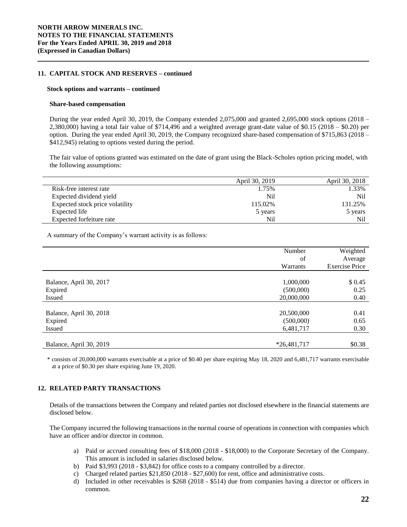## **11. CAPITAL STOCK AND RESERVES – continued**

#### **Stock options and warrants – continued**

#### **Share-based compensation**

During the year ended April 30, 2019, the Company extended 2,075,000 and granted 2,695,000 stock options (2018 – 2,380,000) having a total fair value of \$714,496 and a weighted average grant-date value of \$0.15 (2018 – \$0.20) per option. During the year ended April 30, 2019, the Company recognized share-based compensation of \$715,863 (2018 – \$412,945) relating to options vested during the period.

The fair value of options granted was estimated on the date of grant using the Black-Scholes option pricing model, with the following assumptions:

|                                 | April 30, 2019 | April 30, 2018  |
|---------------------------------|----------------|-----------------|
| Risk-free interest rate         | 1.75%          | 1.33%           |
| Expected dividend yield         | Nil            | N <sub>il</sub> |
| Expected stock price volatility | 115.02%        | 131.25%         |
| Expected life                   | 5 years        | 5 years         |
| Expected forfeiture rate        | Nil            | Nil             |

A summary of the Company's warrant activity is as follows:

|                         | Number<br>of  | Weighted<br>Average   |
|-------------------------|---------------|-----------------------|
|                         | Warrants      | <b>Exercise Price</b> |
|                         |               |                       |
| Balance, April 30, 2017 | 1,000,000     | \$0.45                |
| Expired                 | (500,000)     | 0.25                  |
| <b>Issued</b>           | 20,000,000    | 0.40                  |
|                         |               |                       |
| Balance, April 30, 2018 | 20,500,000    | 0.41                  |
| Expired                 | (500,000)     | 0.65                  |
| <b>Issued</b>           | 6,481,717     | 0.30                  |
|                         |               |                       |
| Balance, April 30, 2019 | $*26,481,717$ | \$0.38                |

\* consists of 20,000,000 warrants exercisable at a price of \$0.40 per share expiring May 18, 2020 and 6,481,717 warrants exercisable at a price of \$0.30 per share expiring June 19, 2020.

# **12. RELATED PARTY TRANSACTIONS**

Details of the transactions between the Company and related parties not disclosed elsewhere in the financial statements are disclosed below.

The Company incurred the following transactions in the normal course of operations in connection with companies which have an officer and/or director in common.

- a) Paid or accrued consulting fees of \$18,000 (2018 \$18,000) to the Corporate Secretary of the Company. This amount is included in salaries disclosed below.
- b) Paid \$3,993 (2018 \$3,842) for office costs to a company controlled by a director.
- c) Charged related parties \$21,850 (2018 \$27,600) for rent, office and administrative costs.
- d) Included in other receivables is \$268 (2018 \$514) due from companies having a director or officers in common.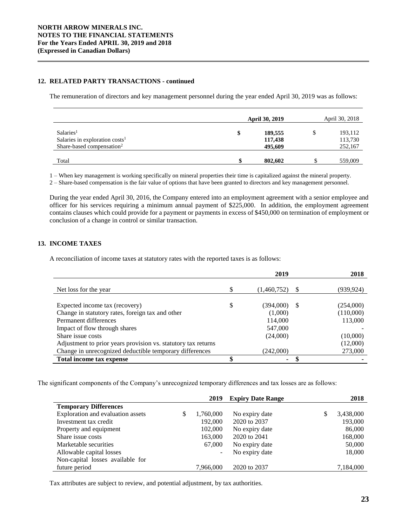# **12. RELATED PARTY TRANSACTIONS - continued**

The remuneration of directors and key management personnel during the year ended April 30, 2019 was as follows:

|                                            | <b>April 30, 2019</b> | April 30, 2018 |
|--------------------------------------------|-----------------------|----------------|
| Salaries <sup>1</sup>                      | \$<br>189,555         | 193,112        |
| Salaries in exploration costs <sup>1</sup> | 117,438               | 113,730        |
| Share-based compensation <sup>2</sup>      | 495,609               | 252,167        |
| Total                                      | 802,602               | 559,009        |

1 – When key management is working specifically on mineral properties their time is capitalized against the mineral property.

2 – Share-based compensation is the fair value of options that have been granted to directors and key management personnel.

During the year ended April 30, 2016, the Company entered into an employment agreement with a senior employee and officer for his services requiring a minimum annual payment of \$225,000. In addition, the employment agreement contains clauses which could provide for a payment or payments in excess of \$450,000 on termination of employment or conclusion of a change in control or similar transaction.

# **13. INCOME TAXES**

A reconciliation of income taxes at statutory rates with the reported taxes is as follows:

|                                                               | 2019              |    | 2018       |
|---------------------------------------------------------------|-------------------|----|------------|
| Net loss for the year                                         | \$<br>(1,460,752) | S  | (939, 924) |
|                                                               |                   |    |            |
| Expected income tax (recovery)                                | \$<br>(394,000)   | -S | (254,000)  |
| Change in statutory rates, foreign tax and other              | (1,000)           |    | (110,000)  |
| Permanent differences                                         | 114,000           |    | 113,000    |
| Impact of flow through shares                                 | 547,000           |    |            |
| Share issue costs                                             | (24,000)          |    | (10,000)   |
| Adjustment to prior years provision vs. statutory tax returns |                   |    | (12,000)   |
| Change in unrecognized deductible temporary differences       | (242,000)         |    | 273,000    |
| Total income tax expense                                      | \$                |    |            |

The significant components of the Company's unrecognized temporary differences and tax losses are as follows:

|                                   | 2019            | <b>Expiry Date Range</b> |   | 2018      |
|-----------------------------------|-----------------|--------------------------|---|-----------|
| <b>Temporary Differences</b>      |                 |                          |   |           |
| Exploration and evaluation assets | \$<br>1,760,000 | No expiry date           | S | 3,438,000 |
| Investment tax credit             | 192,000         | 2020 to 2037             |   | 193,000   |
| Property and equipment            | 102,000         | No expiry date           |   | 86,000    |
| Share issue costs                 | 163,000         | 2020 to 2041             |   | 168,000   |
| Marketable securities             | 67,000          | No expiry date           |   | 50,000    |
| Allowable capital losses          |                 | No expiry date           |   | 18,000    |
| Non-capital losses available for  |                 |                          |   |           |
| future period                     | 7,966,000       | 2020 to 2037             |   | 7,184,000 |

Tax attributes are subject to review, and potential adjustment, by tax authorities.